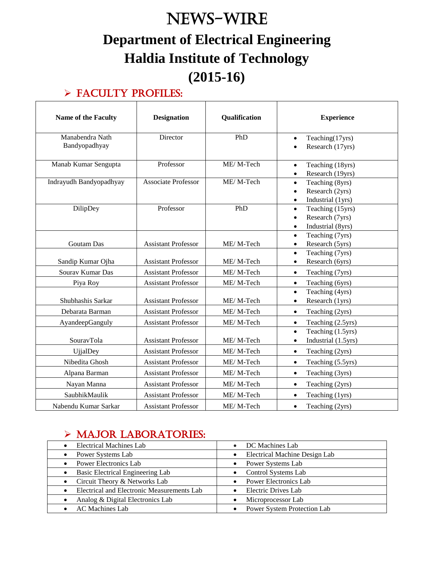# News-WIRE **Department of Electrical Engineering Haldia Institute of Technology (2015-16)**

# $\triangleright$  FACULTY PROFILES:

| <b>Name of the Faculty</b>       | <b>Designation</b>         | Qualification | <b>Experience</b>                                                                               |
|----------------------------------|----------------------------|---------------|-------------------------------------------------------------------------------------------------|
| Manabendra Nath<br>Bandyopadhyay | Director                   | PhD           | Teaching(17yrs)<br>$\bullet$<br>Research (17yrs)<br>$\bullet$                                   |
| Manab Kumar Sengupta             | Professor                  | ME/M-Tech     | Teaching (18yrs)<br>$\bullet$<br>Research (19yrs)<br>$\bullet$                                  |
| Indrayudh Bandyopadhyay          | <b>Associate Professor</b> | ME/M-Tech     | Teaching (8yrs)<br>$\bullet$<br>Research (2yrs)<br>$\bullet$<br>Industrial (1yrs)<br>$\bullet$  |
| DilipDey                         | Professor                  | PhD           | Teaching (15yrs)<br>$\bullet$<br>Research (7yrs)<br>$\bullet$<br>Industrial (8yrs)<br>$\bullet$ |
| Goutam Das                       | <b>Assistant Professor</b> | ME/M-Tech     | Teaching (7yrs)<br>$\bullet$<br>Research (5yrs)<br>$\bullet$                                    |
| Sandip Kumar Ojha                | <b>Assistant Professor</b> | ME/M-Tech     | Teaching (7yrs)<br>$\bullet$<br>Research (6yrs)<br>$\bullet$                                    |
| Sourav Kumar Das                 | <b>Assistant Professor</b> | ME/M-Tech     | Teaching (7yrs)<br>$\bullet$                                                                    |
| Piya Roy                         | <b>Assistant Professor</b> | ME/M-Tech     | Teaching (6yrs)<br>$\bullet$                                                                    |
| Shubhashis Sarkar                | <b>Assistant Professor</b> | ME/M-Tech     | Teaching (4yrs)<br>$\bullet$<br>Research (1yrs)<br>$\bullet$                                    |
| Debarata Barman                  | <b>Assistant Professor</b> | ME/M-Tech     | Teaching (2yrs)<br>$\bullet$                                                                    |
| AyandeepGanguly                  | <b>Assistant Professor</b> | ME/M-Tech     | Teaching (2.5yrs)<br>$\bullet$                                                                  |
| SouravTola                       | <b>Assistant Professor</b> | ME/M-Tech     | Teaching (1.5yrs)<br>$\bullet$<br>Industrial (1.5yrs)<br>$\bullet$                              |
| <b>UjjalDey</b>                  | <b>Assistant Professor</b> | ME/M-Tech     | Teaching (2yrs)<br>$\bullet$                                                                    |
| Nibedita Ghosh                   | <b>Assistant Professor</b> | ME/M-Tech     | Teaching (5.5yrs)<br>$\bullet$                                                                  |
| Alpana Barman                    | <b>Assistant Professor</b> | ME/M-Tech     | Teaching (3yrs)<br>$\bullet$                                                                    |
| Nayan Manna                      | <b>Assistant Professor</b> | ME/M-Tech     | Teaching (2yrs)<br>$\bullet$                                                                    |
| SaubhikMaulik                    | <b>Assistant Professor</b> | ME/M-Tech     | Teaching (1yrs)<br>$\bullet$                                                                    |
| Nabendu Kumar Sarkar             | <b>Assistant Professor</b> | ME/M-Tech     | Teaching (2yrs)<br>$\bullet$                                                                    |

# $\triangleright$  MAJOR LABORATORIES:

| <b>Electrical Machines Lab</b>             | • DC Machines Lab                          |
|--------------------------------------------|--------------------------------------------|
| Power Systems Lab                          | Electrical Machine Design Lab<br>$\bullet$ |
| Power Electronics Lab                      | Power Systems Lab<br>$\bullet$             |
| Basic Electrical Engineering Lab           | Control Systems Lab<br>$\bullet$           |
| Circuit Theory & Networks Lab<br>$\bullet$ | <b>Power Electronics Lab</b><br>$\bullet$  |
| Electrical and Electronic Measurements Lab | • Electric Drives Lab                      |
| Analog & Digital Electronics Lab           | Microprocessor Lab                         |
| • AC Machines Lab                          | Power System Protection Lab                |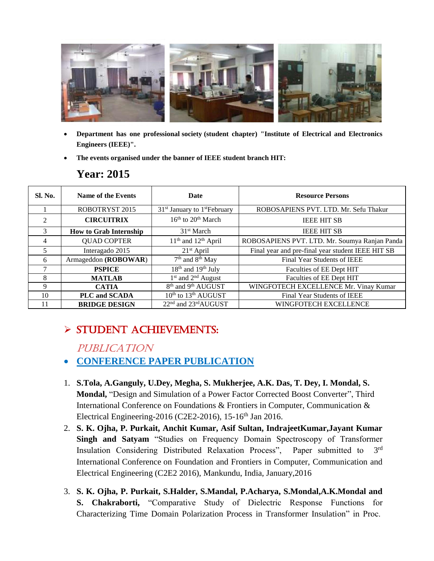

- **Department has one professional society (student chapter) "Institute of Electrical and Electronics Engineers (IEEE)".**
- **The events organised under the banner of IEEE student branch HIT:**

## **Year: 2015**

| Sl. No.        | Name of the Events            | Date                                         | <b>Resource Persons</b>                           |
|----------------|-------------------------------|----------------------------------------------|---------------------------------------------------|
|                | ROBOTRYST 2015                | $31st$ January to 1 <sup>st</sup> February   | ROBOSAPIENS PVT. LTD. Mr. Sefu Thakur             |
| $\overline{2}$ | <b>CIRCUITRIX</b>             | $16th$ to $20th$ March                       | <b>IEEE HIT SB</b>                                |
| 3              | <b>How to Grab Internship</b> | 31 <sup>st</sup> March                       | <b>IEEE HIT SB</b>                                |
| $\overline{4}$ | <b>QUAD COPTER</b>            | $11th$ and $12th$ April                      | ROBOSAPIENS PVT. LTD. Mr. Soumya Ranjan Panda     |
| 5              | Interagado 2015               | $21st$ April                                 | Final year and pre-final year student IEEE HIT SB |
| 6              | Armageddon (ROBOWAR)          | 7 <sup>th</sup> and 8 <sup>th</sup> May      | Final Year Students of IEEE                       |
| 7              | <b>PSPICE</b>                 | 18 <sup>th</sup> and 19 <sup>th</sup> July   | Faculties of EE Dept HIT                          |
| 8              | <b>MATLAB</b>                 | $1st$ and $2nd$ August                       | Faculties of EE Dept HIT                          |
| $\mathbf Q$    | <b>CATIA</b>                  | 8 <sup>th</sup> and 9 <sup>th</sup> AUGUST   | WINGFOTECH EXCELLENCE Mr. Vinay Kumar             |
| 10             | <b>PLC and SCADA</b>          | 10 <sup>th</sup> to 13 <sup>th</sup> AUGUST  | Final Year Students of IEEE                       |
| 11             | <b>BRIDGE DESIGN</b>          | 22 <sup>nd</sup> and 23 <sup>rd</sup> AUGUST | WINGFOTECH EXCELLENCE                             |

# Student Achievements:

#### PUBLICATION

#### **CONFERENCE PAPER PUBLICATION**

- 1. **S.Tola, A.Ganguly, U.Dey, Megha, S. Mukherjee, A.K. Das, T. Dey, I. Mondal, S. Mondal,** "Design and Simulation of a Power Factor Corrected Boost Converter", Third International Conference on Foundations & Frontiers in Computer, Communication & Electrical Engineering-2016 (C2E2-2016),  $15\text{-}16^{\text{th}}$  Jan 2016.
- 2. **S. K. Ojha, P. Purkait, Anchit Kumar, Asif Sultan, IndrajeetKumar,Jayant Kumar Singh and Satyam** "Studies on Frequency Domain Spectroscopy of Transformer Insulation Considering Distributed Relaxation Process", Paper submitted to 3 3<sup>rd</sup> International Conference on Foundation and Frontiers in Computer, Communication and Electrical Engineering (C2E2 2016), Mankundu, India, January,2016
- 3. **S. K. Ojha, P. Purkait, S.Halder, S.Mandal, P.Acharya, S.Mondal,A.K.Mondal and S. Chakraborti,** "Comparative Study of Dielectric Response Functions for Characterizing Time Domain Polarization Process in Transformer Insulation" in Proc.